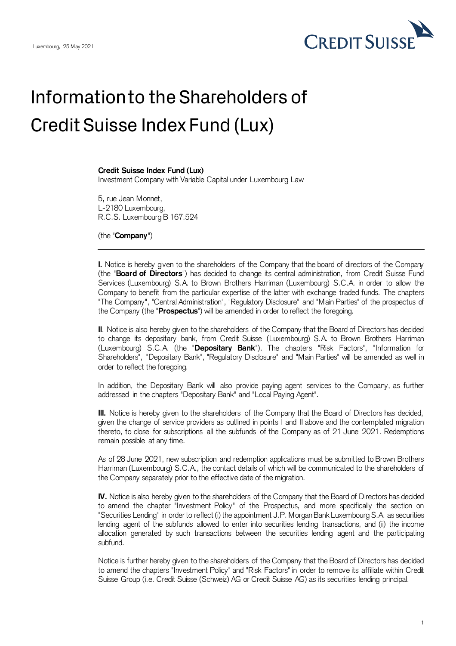

## Information to the Shareholders of Credit Suisse Index Fund (Lux)

## **Credit Suisse Index Fund (Lux)**

Investment Company with Variable Capital under Luxembourg Law

5, rue Jean Monnet, L-2180 Luxembourg, R.C.S. Luxembourg B 167.524

(the "**Company**")

**I.** Notice is hereby given to the shareholders of the Company that the board of directors of the Company (the "**Board of Directors**") has decided to change its central administration, from Credit Suisse Fund Services (Luxembourg) S.A. to Brown Brothers Harriman (Luxembourg) S.C.A. in order to allow the Company to benefit from the particular expertise of the latter with exchange traded funds. The chapters "The Company", "Central Administration", "Regulatory Disclosure" and "Main Parties" of the prospectus of the Company (the "**Prospectus**") will be amended in order to reflect the foregoing.

**II**. Notice is also hereby given to the shareholders of the Company that the Board of Directors has decided to change its depositary bank, from Credit Suisse (Luxembourg) S.A. to Brown Brothers Harriman (Luxembourg) S.C.A. (the "**Depositary Bank**"). The chapters "Risk Factors", "Information for Shareholders", "Depositary Bank", "Regulatory Disclosure" and "Main Parties" will be amended as well in order to reflect the foregoing.

In addition, the Depositary Bank will also provide paying agent services to the Company, as further addressed in the chapters "Depositary Bank" and "Local Paying Agent".

**III.** Notice is hereby given to the shareholders of the Company that the Board of Directors has decided, given the change of service providers as outlined in points I and II above and the contemplated migration thereto, to close for subscriptions all the subfunds of the Company as of 21 June 2021. Redemptions remain possible at any time.

As of 28 June 2021, new subscription and redemption applications must be submitted to Brown Brothers Harriman (Luxembourg) S.C.A., the contact details of which will be communicated to the shareholders of the Company separately prior to the effective date of the migration.

**IV.** Notice is also hereby given to the shareholders of the Company that the Board of Directors has decided to amend the chapter "Investment Policy" of the Prospectus, and more specifically the section on "Securities Lending" in order to reflect (i) the appointment J.P. MorganBankLuxembourg S.A. as securities lending agent of the subfunds allowed to enter into securities lending transactions, and (ii) the income allocation generated by such transactions between the securities lending agent and the participating subfund.

Notice is further hereby given to the shareholders of the Company that the Board of Directors has decided to amend the chapters "Investment Policy" and "Risk Factors" in order to remove its affiliate within Credit Suisse Group (i.e. Credit Suisse (Schweiz) AG or Credit Suisse AG) as its securities lending principal.